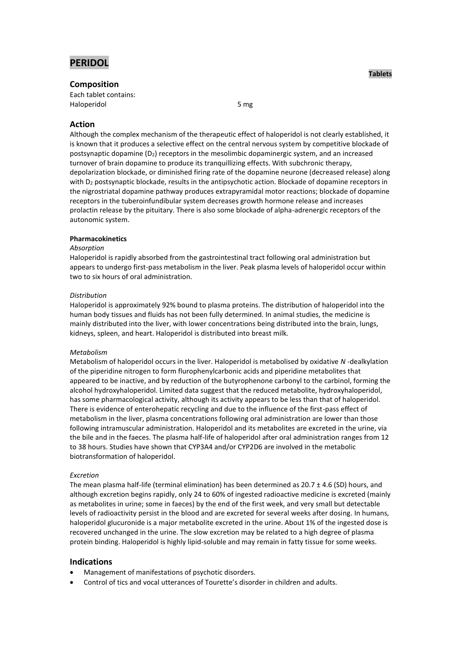

# **Composition**

Each tablet contains: Haloperidol 5 mg

# **Action**

Although the complex mechanism of the therapeutic effect of haloperidol is not clearly established, it is known that it produces a selective effect on the central nervous system by competitive blockade of postsynaptic dopamine (D2) receptors in the mesolimbic dopaminergic system, and an increased turnover of brain dopamine to produce its tranquillizing effects. With subchronic therapy, depolarization blockade, or diminished firing rate of the dopamine neurone (decreased release) along with D<sub>2</sub> postsynaptic blockade, results in the antipsychotic action. Blockade of dopamine receptors in the nigrostriatal dopamine pathway produces extrapyramidal motor reactions; blockade of dopamine receptors in the tuberoinfundibular system decreases growth hormone release and increases prolactin release by the pituitary. There is also some blockade of alpha-adrenergic receptors of the autonomic system.

# **Pharmacokinetics**

# *Absorption*

Haloperidol is rapidly absorbed from the gastrointestinal tract following oral administration but appears to undergo first-pass metabolism in the liver. Peak plasma levels of haloperidol occur within two to six hours of oral administration.

# *Distribution*

Haloperidol is approximately 92% bound to plasma proteins. The distribution of haloperidol into the human body tissues and fluids has not been fully determined. In animal studies, the medicine is mainly distributed into the liver, with lower concentrations being distributed into the brain, lungs, kidneys, spleen, and heart. Haloperidol is distributed into breast milk.

# *Metabolism*

Metabolism of haloperidol occurs in the liver. Haloperidol is metabolised by oxidative *N* -dealkylation of the piperidine nitrogen to form flurophenylcarbonic acids and piperidine metabolites that appeared to be inactive, and by reduction of the butyrophenone carbonyl to the carbinol, forming the alcohol hydroxyhaloperidol. Limited data suggest that the reduced metabolite, hydroxyhaloperidol, has some pharmacological activity, although its activity appears to be less than that of haloperidol. There is evidence of enterohepatic recycling and due to the influence of the first-pass effect of metabolism in the liver, plasma concentrations following oral administration are lower than those following intramuscular administration. Haloperidol and its metabolites are excreted in the urine, via the bile and in the faeces. The plasma half-life of haloperidol after oral administration ranges from 12 to 38 hours. Studies have shown that CYP3A4 and/or CYP2D6 are involved in the metabolic biotransformation of haloperidol.

# *Excretion*

The mean plasma half-life (terminal elimination) has been determined as  $20.7 \pm 4.6$  (SD) hours, and although excretion begins rapidly, only 24 to 60% of ingested radioactive medicine is excreted (mainly as metabolites in urine; some in faeces) by the end of the first week, and very small but detectable levels of radioactivity persist in the blood and are excreted for several weeks after dosing. In humans, haloperidol glucuronide is a major metabolite excreted in the urine. About 1% of the ingested dose is recovered unchanged in the urine. The slow excretion may be related to a high degree of plasma protein binding. Haloperidol is highly lipid-soluble and may remain in fatty tissue for some weeks.

# **Indications**

- Management of manifestations of psychotic disorders.
- Control of tics and vocal utterances of Tourette's disorder in children and adults.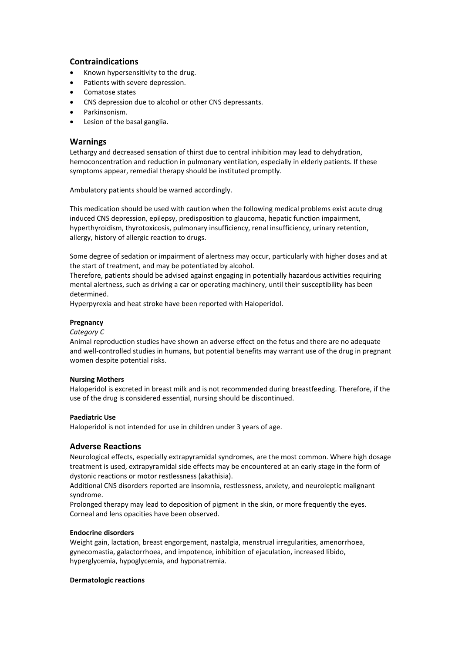# **Contraindications**

- Known hypersensitivity to the drug.
- Patients with severe depression.
- Comatose states
- CNS depression due to alcohol or other CNS depressants.
- Parkinsonism.
- Lesion of the basal ganglia.

# **Warnings**

Lethargy and decreased sensation of thirst due to central inhibition may lead to dehydration, hemoconcentration and reduction in pulmonary ventilation, especially in elderly patients. If these symptoms appear, remedial therapy should be instituted promptly.

Ambulatory patients should be warned accordingly.

This medication should be used with caution when the following medical problems exist acute drug induced CNS depression, epilepsy, predisposition to glaucoma, hepatic function impairment, hyperthyroidism, thyrotoxicosis, pulmonary insufficiency, renal insufficiency, urinary retention, allergy, history of allergic reaction to drugs.

Some degree of sedation or impairment of alertness may occur, particularly with higher doses and at the start of treatment, and may be potentiated by alcohol.

Therefore, patients should be advised against engaging in potentially hazardous activities requiring mental alertness, such as driving a car or operating machinery, until their susceptibility has been determined.

Hyperpyrexia and heat stroke have been reported with Haloperidol.

# **Pregnancy**

# *Category C*

Animal reproduction studies have shown an adverse effect on the fetus and there are no adequate and well-controlled studies in humans, but potential benefits may warrant use of the drug in pregnant women despite potential risks.

# **Nursing Mothers**

Haloperidol is excreted in breast milk and is not recommended during breastfeeding. Therefore, if the use of the drug is considered essential, nursing should be discontinued.

# **Paediatric Use**

Haloperidol is not intended for use in children under 3 years of age.

# **Adverse Reactions**

Neurological effects, especially extrapyramidal syndromes, are the most common. Where high dosage treatment is used, extrapyramidal side effects may be encountered at an early stage in the form of dystonic reactions or motor restlessness (akathisia).

Additional CNS disorders reported are insomnia, restlessness, anxiety, and neuroleptic malignant syndrome.

Prolonged therapy may lead to deposition of pigment in the skin, or more frequently the eyes. Corneal and lens opacities have been observed.

# **Endocrine disorders**

Weight gain, lactation, breast engorgement, nastalgia, menstrual irregularities, amenorrhoea, gynecomastia, galactorrhoea, and impotence, inhibition of ejaculation, increased libido, hyperglycemia, hypoglycemia, and hyponatremia.

### **Dermatologic reactions**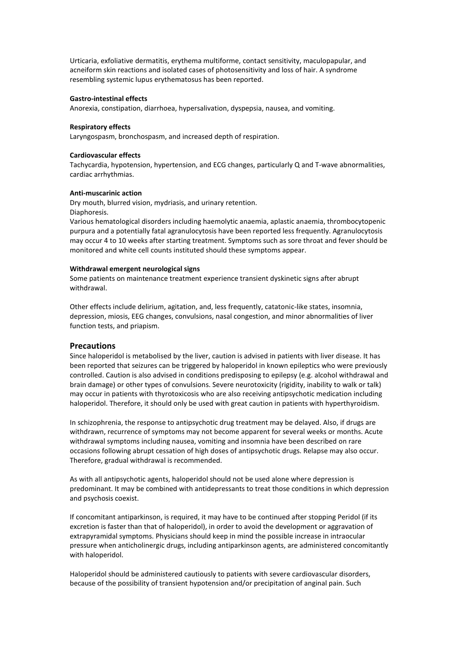Urticaria, exfoliative dermatitis, erythema multiforme, contact sensitivity, maculopapular, and acneiform skin reactions and isolated cases of photosensitivity and loss of hair. A syndrome resembling systemic lupus erythematosus has been reported.

### **Gastro-intestinal effects**

Anorexia, constipation, diarrhoea, hypersalivation, dyspepsia, nausea, and vomiting.

# **Respiratory effects**

Laryngospasm, bronchospasm, and increased depth of respiration.

## **Cardiovascular effects**

Tachycardia, hypotension, hypertension, and ECG changes, particularly Q and T-wave abnormalities, cardiac arrhythmias.

## **Anti-muscarinic action**

Dry mouth, blurred vision, mydriasis, and urinary retention. Diaphoresis.

Various hematological disorders including haemolytic anaemia, aplastic anaemia, thrombocytopenic purpura and a potentially fatal agranulocytosis have been reported less frequently. Agranulocytosis may occur 4 to 10 weeks after starting treatment. Symptoms such as sore throat and fever should be monitored and white cell counts instituted should these symptoms appear.

## **Withdrawal emergent neurological signs**

Some patients on maintenance treatment experience transient dyskinetic signs after abrupt withdrawal.

Other effects include delirium, agitation, and, less frequently, catatonic-like states, insomnia, depression, miosis, EEG changes, convulsions, nasal congestion, and minor abnormalities of liver function tests, and priapism.

# **Precautions**

Since haloperidol is metabolised by the liver, caution is advised in patients with liver disease. It has been reported that seizures can be triggered by haloperidol in known epileptics who were previously controlled. Caution is also advised in conditions predisposing to epilepsy (e.g. alcohol withdrawal and brain damage) or other types of convulsions. Severe neurotoxicity (rigidity, inability to walk or talk) may occur in patients with thyrotoxicosis who are also receiving antipsychotic medication including haloperidol. Therefore, it should only be used with great caution in patients with hyperthyroidism.

In schizophrenia, the response to antipsychotic drug treatment may be delayed. Also, if drugs are withdrawn, recurrence of symptoms may not become apparent for several weeks or months. Acute withdrawal symptoms including nausea, vomiting and insomnia have been described on rare occasions following abrupt cessation of high doses of antipsychotic drugs. Relapse may also occur. Therefore, gradual withdrawal is recommended.

As with all antipsychotic agents, haloperidol should not be used alone where depression is predominant. It may be combined with antidepressants to treat those conditions in which depression and psychosis coexist.

If concomitant antiparkinson, is required, it may have to be continued after stopping Peridol (if its excretion is faster than that of haloperidol), in order to avoid the development or aggravation of extrapyramidal symptoms. Physicians should keep in mind the possible increase in intraocular pressure when anticholinergic drugs, including antiparkinson agents, are administered concomitantly with haloperidol.

Haloperidol should be administered cautiously to patients with severe cardiovascular disorders, because of the possibility of transient hypotension and/or precipitation of anginal pain. Such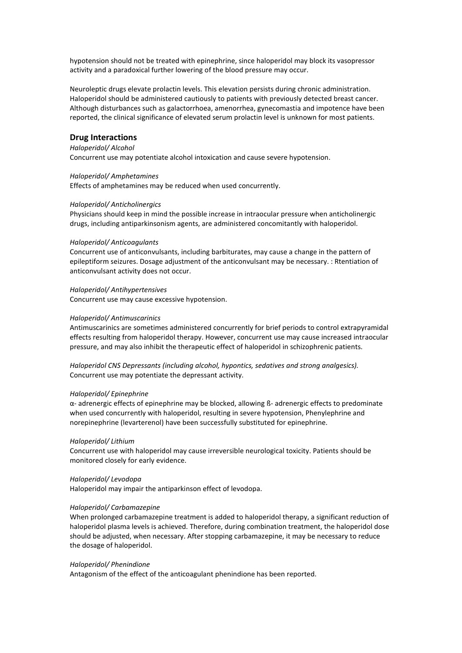hypotension should not be treated with epinephrine, since haloperidol may block its vasopressor activity and a paradoxical further lowering of the blood pressure may occur.

Neuroleptic drugs elevate prolactin levels. This elevation persists during chronic administration. Haloperidol should be administered cautiously to patients with previously detected breast cancer. Although disturbances such as galactorrhoea, amenorrhea, gynecomastia and impotence have been reported, the clinical significance of elevated serum prolactin level is unknown for most patients.

### **Drug Interactions**

# *Haloperidol/ Alcohol*

Concurrent use may potentiate alcohol intoxication and cause severe hypotension.

#### *Haloperidol/ Amphetamines*

Effects of amphetamines may be reduced when used concurrently.

#### *Haloperidol/ Anticholinergics*

Physicians should keep in mind the possible increase in intraocular pressure when anticholinergic drugs, including antiparkinsonism agents, are administered concomitantly with haloperidol.

#### *Haloperidol/ Anticoagulants*

Concurrent use of anticonvulsants, including barbiturates, may cause a change in the pattern of epileptiform seizures. Dosage adjustment of the anticonvulsant may be necessary. : Rtentiation of anticonvulsant activity does not occur.

#### *Haloperidol/ Antihypertensives*

Concurrent use may cause excessive hypotension.

### *Haloperidol/ Antimuscarinics*

Antimuscarinics are sometimes administered concurrently for brief periods to control extrapyramidal effects resulting from haloperidol therapy. However, concurrent use may cause increased intraocular pressure, and may also inhibit the therapeutic effect of haloperidol in schizophrenic patients.

*Haloperidol CNS Depressants (including alcohol, hypontics, sedatives and strong analgesics).* Concurrent use may potentiate the depressant activity.

### *Haloperidol/ Epinephrine*

α- adrenergic effects of epinephrine may be blocked, allowing ß- adrenergic effects to predominate when used concurrently with haloperidol, resulting in severe hypotension, Phenylephrine and norepinephrine (levarterenol) have been successfully substituted for epinephrine.

#### *Haloperidol/ Lithium*

Concurrent use with haloperidol may cause irreversible neurological toxicity. Patients should be monitored closely for early evidence.

### *Haloperidol/ Levodopa*

Haloperidol may impair the antiparkinson effect of levodopa.

### *Haloperidol/ Carbamazepine*

When prolonged carbamazepine treatment is added to haloperidol therapy, a significant reduction of haloperidol plasma levels is achieved. Therefore, during combination treatment, the haloperidol dose should be adjusted, when necessary. After stopping carbamazepine, it may be necessary to reduce the dosage of haloperidol.

#### *Haloperidol/ Phenindione*

Antagonism of the effect of the anticoagulant phenindione has been reported.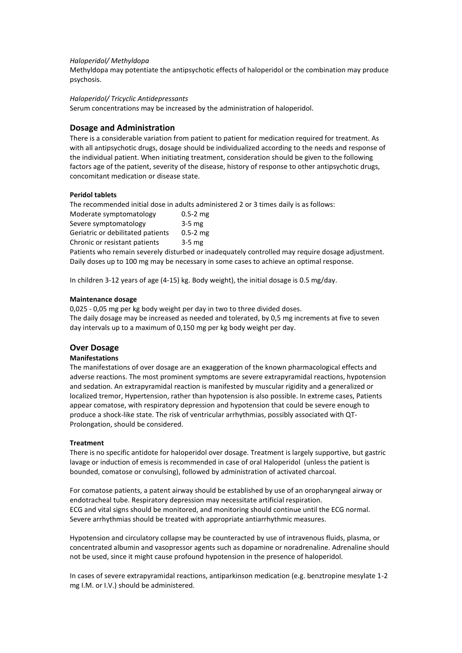## *Haloperidol/ Methyldopa*

Methyldopa may potentiate the antipsychotic effects of haloperidol or the combination may produce psychosis.

### *Haloperidol/ Tricyclic Antidepressants*

Serum concentrations may be increased by the administration of haloperidol.

# **Dosage and Administration**

There is a considerable variation from patient to patient for medication required for treatment. As with all antipsychotic drugs, dosage should be individualized according to the needs and response of the individual patient. When initiating treatment, consideration should be given to the following factors age of the patient, severity of the disease, history of response to other antipsychotic drugs, concomitant medication or disease state.

# **Peridol tablets**

The recommended initial dose in adults administered 2 or 3 times daily is as follows:

| Moderate symptomatology           | $0.5 - 2$ mg |
|-----------------------------------|--------------|
| Severe symptomatology             | $3-5$ mg     |
| Geriatric or debilitated patients | $0.5 - 2$ mg |
| Chronic or resistant patients     | $3-5$ mg     |

Patients who remain severely disturbed or inadequately controlled may require dosage adjustment. Daily doses up to 100 mg may be necessary in some cases to achieve an optimal response.

In children 3-12 years of age (4-15) kg. Body weight), the initial dosage is 0.5 mg/day.

## **Maintenance dosage**

0,025 - 0,05 mg per kg body weight per day in two to three divided doses. The daily dosage may be increased as needed and tolerated, by 0,5 mg increments at five to seven day intervals up to a maximum of 0,150 mg per kg body weight per day.

# **Over Dosage**

# **Manifestations**

The manifestations of over dosage are an exaggeration of the known pharmacological effects and adverse reactions. The most prominent symptoms are severe extrapyramidal reactions, hypotension and sedation. An extrapyramidal reaction is manifested by muscular rigidity and a generalized or localized tremor, Hypertension, rather than hypotension is also possible. In extreme cases, Patients appear comatose, with respiratory depression and hypotension that could be severe enough to produce a shock-like state. The risk of ventricular arrhythmias, possibly associated with QT-Prolongation, should be considered.

# **Treatment**

There is no specific antidote for haloperidol over dosage. Treatment is largely supportive, but gastric lavage or induction of emesis is recommended in case of oral Haloperidol (unless the patient is bounded, comatose or convulsing), followed by administration of activated charcoal.

For comatose patients, a patent airway should be established by use of an oropharyngeal airway or endotracheal tube. Respiratory depression may necessitate artificial respiration. ECG and vital signs should be monitored, and monitoring should continue until the ECG normal. Severe arrhythmias should be treated with appropriate antiarrhythmic measures.

Hypotension and circulatory collapse may be counteracted by use of intravenous fluids, plasma, or concentrated albumin and vasopressor agents such as dopamine or noradrenaline. Adrenaline should not be used, since it might cause profound hypotension in the presence of haloperidol.

In cases of severe extrapyramidal reactions, antiparkinson medication (e.g. benztropine mesylate 1-2 mg I.M. or I.V.) should be administered.